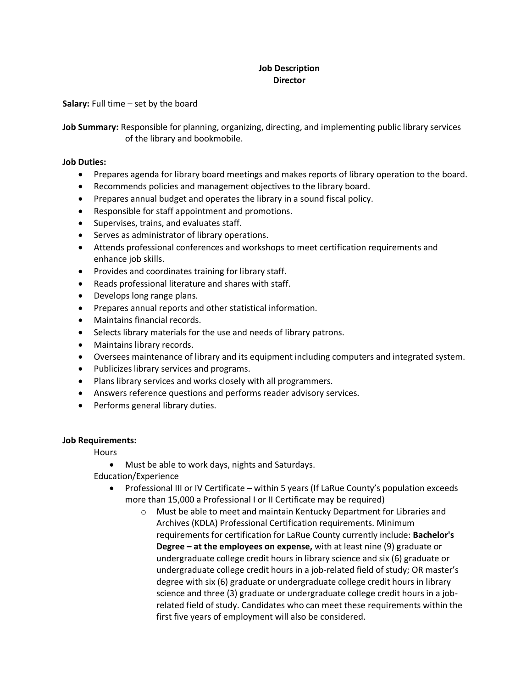## **Job Description Director**

**Salary:** Full time – set by the board

**Job Summary:** Responsible for planning, organizing, directing, and implementing public library services of the library and bookmobile.

## **Job Duties:**

- Prepares agenda for library board meetings and makes reports of library operation to the board.
- Recommends policies and management objectives to the library board.
- Prepares annual budget and operates the library in a sound fiscal policy.
- Responsible for staff appointment and promotions.
- Supervises, trains, and evaluates staff.
- Serves as administrator of library operations.
- Attends professional conferences and workshops to meet certification requirements and enhance job skills.
- Provides and coordinates training for library staff.
- Reads professional literature and shares with staff.
- Develops long range plans.
- Prepares annual reports and other statistical information.
- Maintains financial records.
- Selects library materials for the use and needs of library patrons.
- Maintains library records.
- Oversees maintenance of library and its equipment including computers and integrated system.
- Publicizes library services and programs.
- Plans library services and works closely with all programmers.
- Answers reference questions and performs reader advisory services.
- Performs general library duties.

## **Job Requirements:**

**Hours** 

Must be able to work days, nights and Saturdays.

Education/Experience

- Professional III or IV Certificate within 5 years (If LaRue County's population exceeds more than 15,000 a Professional I or II Certificate may be required)
	- o Must be able to meet and maintain Kentucky Department for Libraries and Archives (KDLA) Professional Certification requirements. Minimum requirements for certification for LaRue County currently include: **Bachelor's Degree – at the employees on expense,** with at least nine (9) graduate or undergraduate college credit hours in library science and six (6) graduate or undergraduate college credit hours in a job-related field of study; OR master's degree with six (6) graduate or undergraduate college credit hours in library science and three (3) graduate or undergraduate college credit hours in a jobrelated field of study. Candidates who can meet these requirements within the first five years of employment will also be considered.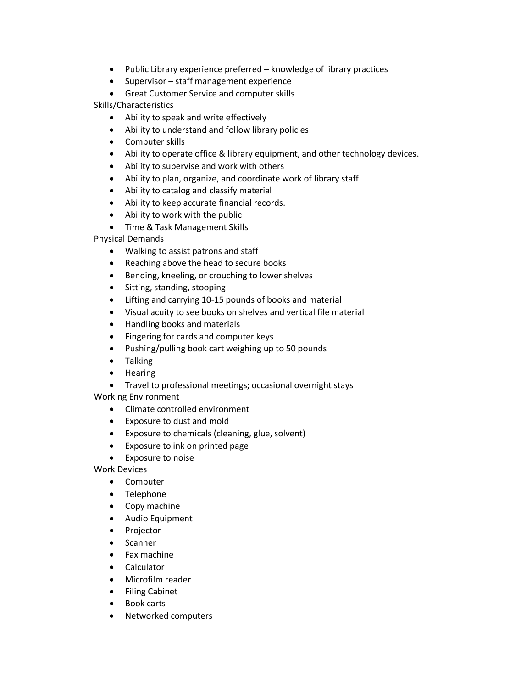- Public Library experience preferred knowledge of library practices
- Supervisor staff management experience

Great Customer Service and computer skills

Skills/Characteristics

- Ability to speak and write effectively
- Ability to understand and follow library policies
- Computer skills
- Ability to operate office & library equipment, and other technology devices.
- Ability to supervise and work with others
- Ability to plan, organize, and coordinate work of library staff
- Ability to catalog and classify material
- Ability to keep accurate financial records.
- Ability to work with the public
- Time & Task Management Skills

Physical Demands

- Walking to assist patrons and staff
- Reaching above the head to secure books
- Bending, kneeling, or crouching to lower shelves
- Sitting, standing, stooping
- Lifting and carrying 10-15 pounds of books and material
- Visual acuity to see books on shelves and vertical file material
- Handling books and materials
- Fingering for cards and computer keys
- Pushing/pulling book cart weighing up to 50 pounds
- Talking
- Hearing
- Travel to professional meetings; occasional overnight stays

Working Environment

- Climate controlled environment
- Exposure to dust and mold
- Exposure to chemicals (cleaning, glue, solvent)
- Exposure to ink on printed page
- Exposure to noise

Work Devices

- Computer
- Telephone
- Copy machine
- Audio Equipment
- Projector
- Scanner
- Fax machine
- Calculator
- Microfilm reader
- **•** Filing Cabinet
- Book carts
- Networked computers